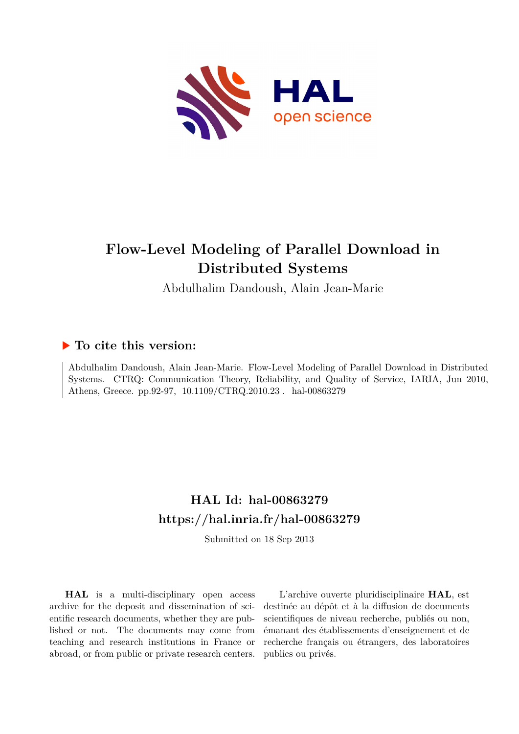

# **Flow-Level Modeling of Parallel Download in Distributed Systems**

Abdulhalim Dandoush, Alain Jean-Marie

### **To cite this version:**

Abdulhalim Dandoush, Alain Jean-Marie. Flow-Level Modeling of Parallel Download in Distributed Systems. CTRQ: Communication Theory, Reliability, and Quality of Service, IARIA, Jun 2010, Athens, Greece. pp.92-97,  $10.1109/CTRQ.2010.23$ . hal-00863279

## **HAL Id: hal-00863279 <https://hal.inria.fr/hal-00863279>**

Submitted on 18 Sep 2013

**HAL** is a multi-disciplinary open access archive for the deposit and dissemination of scientific research documents, whether they are published or not. The documents may come from teaching and research institutions in France or abroad, or from public or private research centers.

L'archive ouverte pluridisciplinaire **HAL**, est destinée au dépôt et à la diffusion de documents scientifiques de niveau recherche, publiés ou non, émanant des établissements d'enseignement et de recherche français ou étrangers, des laboratoires publics ou privés.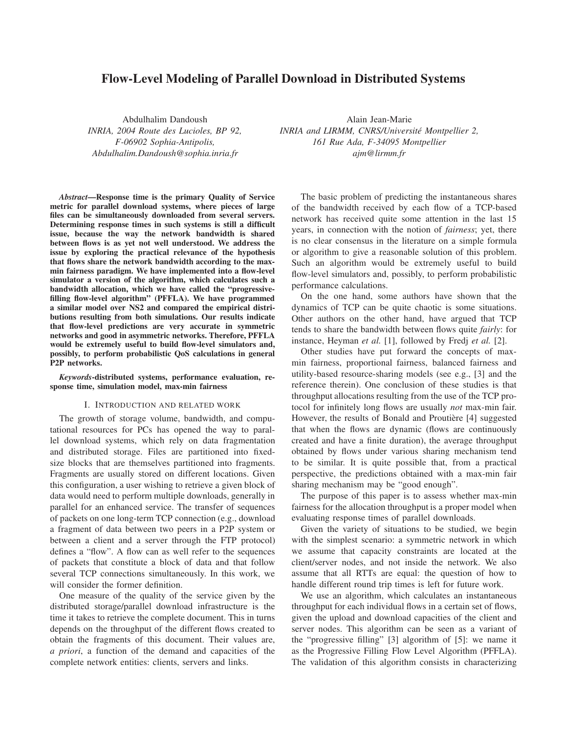### **Flow-Level Modeling of Parallel Download in Distributed Systems**

Abdulhalim Dandoush *INRIA, 2004 Route des Lucioles, BP 92, F-06902 Sophia-Antipolis, Abdulhalim.Dandoush@sophia.inria.fr*

*Abstract***—Response time is the primary Quality of Service metric for parallel download systems, where pieces of large files can be simultaneously downloaded from several servers. Determining response times in such systems is still a difficult issue, because the way the network bandwidth is shared between flows is as yet not well understood. We address the issue by exploring the practical relevance of the hypothesis that flows share the network bandwidth according to the maxmin fairness paradigm. We have implemented into a flow-level simulator a version of the algorithm, which calculates such a bandwidth allocation, which we have called the "progressivefilling flow-level algorithm" (PFFLA). We have programmed a similar model over NS2 and compared the empirical distributions resulting from both simulations. Our results indicate that flow-level predictions are very accurate in symmetric networks and good in asymmetric networks. Therefore, PFFLA would be extremely useful to build flow-level simulators and, possibly, to perform probabilistic QoS calculations in general P2P networks.**

*Keywords***-distributed systems, performance evaluation, response time, simulation model, max-min fairness**

#### I. INTRODUCTION AND RELATED WORK

The growth of storage volume, bandwidth, and computational resources for PCs has opened the way to parallel download systems, which rely on data fragmentation and distributed storage. Files are partitioned into fixedsize blocks that are themselves partitioned into fragments. Fragments are usually stored on different locations. Given this configuration, a user wishing to retrieve a given block of data would need to perform multiple downloads, generally in parallel for an enhanced service. The transfer of sequences of packets on one long-term TCP connection (e.g., download a fragment of data between two peers in a P2P system or between a client and a server through the FTP protocol) defines a "flow". A flow can as well refer to the sequences of packets that constitute a block of data and that follow several TCP connections simultaneously. In this work, we will consider the former definition.

One measure of the quality of the service given by the distributed storage/parallel download infrastructure is the time it takes to retrieve the complete document. This in turns depends on the throughput of the different flows created to obtain the fragments of this document. Their values are, *a priori*, a function of the demand and capacities of the complete network entities: clients, servers and links.

Alain Jean-Marie *INRIA and LIRMM, CNRS/Universite Montpellier 2, ´ 161 Rue Ada, F-34095 Montpellier ajm@lirmm.fr*

The basic problem of predicting the instantaneous shares of the bandwidth received by each flow of a TCP-based network has received quite some attention in the last 15 years, in connection with the notion of *fairness*; yet, there is no clear consensus in the literature on a simple formula or algorithm to give a reasonable solution of this problem. Such an algorithm would be extremely useful to build flow-level simulators and, possibly, to perform probabilistic performance calculations.

On the one hand, some authors have shown that the dynamics of TCP can be quite chaotic is some situations. Other authors on the other hand, have argued that TCP tends to share the bandwidth between flows quite *fairly*: for instance, Heyman *et al.* [1], followed by Fredj *et al.* [2].

Other studies have put forward the concepts of maxmin fairness, proportional fairness, balanced fairness and utility-based resource-sharing models (see e.g., [3] and the reference therein). One conclusion of these studies is that throughput allocations resulting from the use of the TCP protocol for infinitely long flows are usually *not* max-min fair. However, the results of Bonald and Proutière [4] suggested that when the flows are dynamic (flows are continuously created and have a finite duration), the average throughput obtained by flows under various sharing mechanism tend to be similar. It is quite possible that, from a practical perspective, the predictions obtained with a max-min fair sharing mechanism may be "good enough".

The purpose of this paper is to assess whether max-min fairness for the allocation throughput is a proper model when evaluating response times of parallel downloads.

Given the variety of situations to be studied, we begin with the simplest scenario: a symmetric network in which we assume that capacity constraints are located at the client/server nodes, and not inside the network. We also assume that all RTTs are equal: the question of how to handle different round trip times is left for future work.

We use an algorithm, which calculates an instantaneous throughput for each individual flows in a certain set of flows, given the upload and download capacities of the client and server nodes. This algorithm can be seen as a variant of the "progressive filling" [3] algorithm of [5]: we name it as the Progressive Filling Flow Level Algorithm (PFFLA). The validation of this algorithm consists in characterizing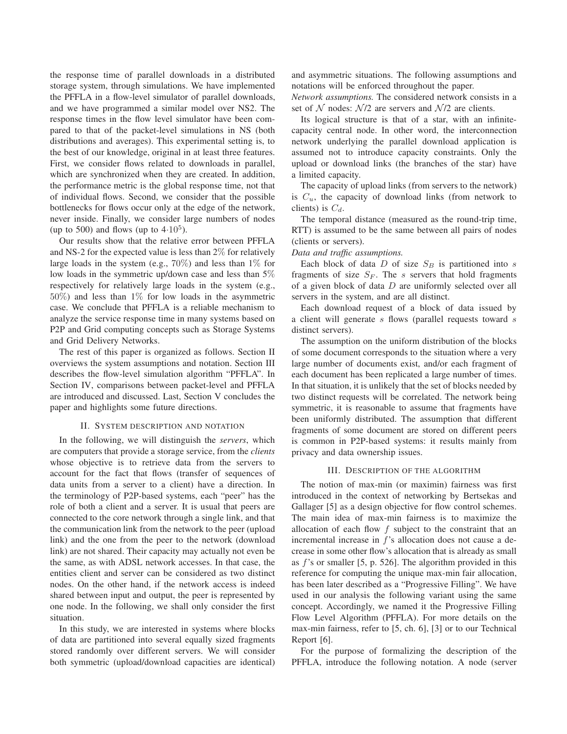the response time of parallel downloads in a distributed storage system, through simulations. We have implemented the PFFLA in a flow-level simulator of parallel downloads, and we have programmed a similar model over NS2. The response times in the flow level simulator have been compared to that of the packet-level simulations in NS (both distributions and averages). This experimental setting is, to the best of our knowledge, original in at least three features. First, we consider flows related to downloads in parallel, which are synchronized when they are created. In addition, the performance metric is the global response time, not that of individual flows. Second, we consider that the possible bottlenecks for flows occur only at the edge of the network, never inside. Finally, we consider large numbers of nodes (up to 500) and flows (up to  $4.10^5$ ).

Our results show that the relative error between PFFLA and NS-2 for the expected value is less than 2% for relatively large loads in the system (e.g.,  $70\%$ ) and less than 1% for low loads in the symmetric up/down case and less than 5% respectively for relatively large loads in the system (e.g.,  $50\%$ ) and less than  $1\%$  for low loads in the asymmetric case. We conclude that PFFLA is a reliable mechanism to analyze the service response time in many systems based on P2P and Grid computing concepts such as Storage Systems and Grid Delivery Networks.

The rest of this paper is organized as follows. Section II overviews the system assumptions and notation. Section III describes the flow-level simulation algorithm "PFFLA". In Section IV, comparisons between packet-level and PFFLA are introduced and discussed. Last, Section V concludes the paper and highlights some future directions.

#### II. SYSTEM DESCRIPTION AND NOTATION

In the following, we will distinguish the *servers*, which are computers that provide a storage service, from the *clients* whose objective is to retrieve data from the servers to account for the fact that flows (transfer of sequences of data units from a server to a client) have a direction. In the terminology of P2P-based systems, each "peer" has the role of both a client and a server. It is usual that peers are connected to the core network through a single link, and that the communication link from the network to the peer (upload link) and the one from the peer to the network (download link) are not shared. Their capacity may actually not even be the same, as with ADSL network accesses. In that case, the entities client and server can be considered as two distinct nodes. On the other hand, if the network access is indeed shared between input and output, the peer is represented by one node. In the following, we shall only consider the first situation.

In this study, we are interested in systems where blocks of data are partitioned into several equally sized fragments stored randomly over different servers. We will consider both symmetric (upload/download capacities are identical) and asymmetric situations. The following assumptions and notations will be enforced throughout the paper.

*Network assumptions.* The considered network consists in a set of N nodes:  $\mathcal{N}/2$  are servers and  $\mathcal{N}/2$  are clients.

Its logical structure is that of a star, with an infinitecapacity central node. In other word, the interconnection network underlying the parallel download application is assumed not to introduce capacity constraints. Only the upload or download links (the branches of the star) have a limited capacity.

The capacity of upload links (from servers to the network) is  $C_u$ , the capacity of download links (from network to clients) is  $C_d$ .

The temporal distance (measured as the round-trip time, RTT) is assumed to be the same between all pairs of nodes (clients or servers).

#### *Data and traffic assumptions.*

Each block of data  $D$  of size  $S_B$  is partitioned into s fragments of size  $S_F$ . The s servers that hold fragments of a given block of data  $D$  are uniformly selected over all servers in the system, and are all distinct.

Each download request of a block of data issued by a client will generate s flows (parallel requests toward s distinct servers).

The assumption on the uniform distribution of the blocks of some document corresponds to the situation where a very large number of documents exist, and/or each fragment of each document has been replicated a large number of times. In that situation, it is unlikely that the set of blocks needed by two distinct requests will be correlated. The network being symmetric, it is reasonable to assume that fragments have been uniformly distributed. The assumption that different fragments of some document are stored on different peers is common in P2P-based systems: it results mainly from privacy and data ownership issues.

#### III. DESCRIPTION OF THE ALGORITHM

The notion of max-min (or maximin) fairness was first introduced in the context of networking by Bertsekas and Gallager [5] as a design objective for flow control schemes. The main idea of max-min fairness is to maximize the allocation of each flow  $f$  subject to the constraint that an incremental increase in f's allocation does not cause a decrease in some other flow's allocation that is already as small as f's or smaller [5, p. 526]. The algorithm provided in this reference for computing the unique max-min fair allocation, has been later described as a "Progressive Filling". We have used in our analysis the following variant using the same concept. Accordingly, we named it the Progressive Filling Flow Level Algorithm (PFFLA). For more details on the max-min fairness, refer to [5, ch. 6], [3] or to our Technical Report [6].

For the purpose of formalizing the description of the PFFLA, introduce the following notation. A node (server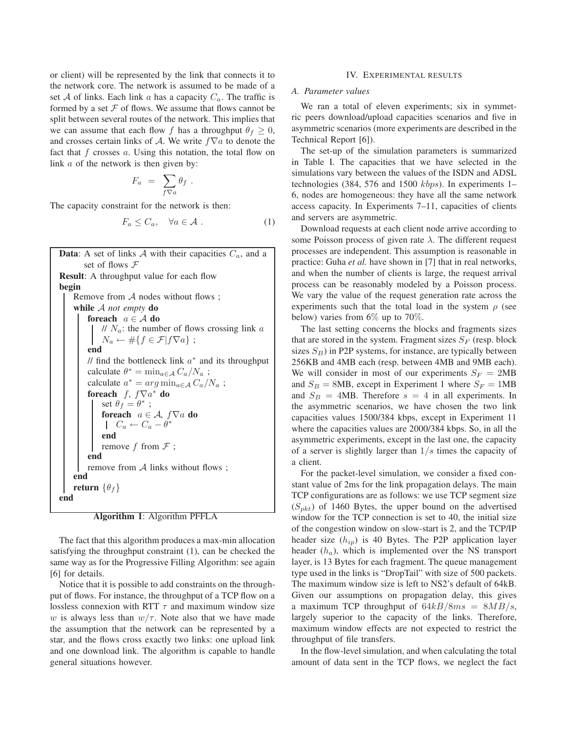or client) will be represented by the link that connects it to the network core. The network is assumed to be made of a set A of links. Each link a has a capacity  $C_a$ . The traffic is formed by a set  $F$  of flows. We assume that flows cannot be split between several routes of the network. This implies that we can assume that each flow f has a throughput  $\theta_f \geq 0$ , and crosses certain links of A. We write  $f\nabla a$  to denote the fact that  $f$  crosses  $a$ . Using this notation, the total flow on link a of the network is then given by:

$$
F_a = \sum_{f \nabla a} \theta_f.
$$

The capacity constraint for the network is then:

$$
F_a \le C_a, \quad \forall a \in \mathcal{A} \; . \tag{1}
$$

**Data**: A set of links  $A$  with their capacities  $C_a$ , and a set of flows F **Result**: A throughput value for each flow **begin** Remove from  $A$  nodes without flows ; **while** A *not empty* **do foreach** a ∈ A **do** //  $N_a$ : the number of flows crossing link a  $N_a \leftarrow \# \{ f \in \mathcal{F} | f \nabla a \}$ ; **end** // find the bottleneck link  $a^*$  and its throughput calculate  $\theta^* = \min_{a \in \mathcal{A}} C_a / N_a$ ; calculate  $a^* = arg \min_{a \in \mathcal{A}} C_a/N_a$ ; **foreach** f*,* f∇a <sup>∗</sup> **do** set  $\theta_f = \theta^*$ ; **foreach**  $a \in \mathcal{A}$ ,  $f \nabla a$  **do**  $C_a \leftarrow C_a - \check{\theta}^*$ **end** remove  $f$  from  $\mathcal F$ ; **end** remove from  $A$  links without flows ; **end return**  $\{\theta_f\}$ **end**

**Algorithm 1**: Algorithm PFFLA

The fact that this algorithm produces a max-min allocation satisfying the throughput constraint (1), can be checked the same way as for the Progressive Filling Algorithm: see again [6] for details.

Notice that it is possible to add constraints on the throughput of flows. For instance, the throughput of a TCP flow on a lossless connexion with RTT  $\tau$  and maximum window size w is always less than  $w/\tau$ . Note also that we have made the assumption that the network can be represented by a star, and the flows cross exactly two links: one upload link and one download link. The algorithm is capable to handle general situations however.

#### IV. EXPERIMENTAL RESULTS

#### *A. Parameter values*

We ran a total of eleven experiments; six in symmetric peers download/upload capacities scenarios and five in asymmetric scenarios (more experiments are described in the Technical Report [6]).

The set-up of the simulation parameters is summarized in Table I. The capacities that we have selected in the simulations vary between the values of the ISDN and ADSL technologies (384, 576 and 1500 kbps). In experiments 1– 6, nodes are homogeneous: they have all the same network access capacity. In Experiments 7–11, capacities of clients and servers are asymmetric.

Download requests at each client node arrive according to some Poisson process of given rate  $\lambda$ . The different request processes are independent. This assumption is reasonable in practice: Guha *et al.* have shown in [7] that in real networks, and when the number of clients is large, the request arrival process can be reasonably modeled by a Poisson process. We vary the value of the request generation rate across the experiments such that the total load in the system  $\rho$  (see below) varies from  $6\%$  up to  $70\%$ .

The last setting concerns the blocks and fragments sizes that are stored in the system. Fragment sizes  $S_F$  (resp. block sizes  $S_B$ ) in P2P systems, for instance, are typically between 256KB and 4MB each (resp. between 4MB and 9MB each). We will consider in most of our experiments  $S_F = 2MB$ and  $S_B = 8MB$ , except in Experiment 1 where  $S_F = 1MB$ and  $S_B = 4MB$ . Therefore  $s = 4$  in all experiments. In the asymmetric scenarios, we have chosen the two link capacities values 1500/384 kbps, except in Experiment 11 where the capacities values are 2000/384 kbps. So, in all the asymmetric experiments, except in the last one, the capacity of a server is slightly larger than  $1/s$  times the capacity of a client.

For the packet-level simulation, we consider a fixed constant value of 2ms for the link propagation delays. The main TCP configurations are as follows: we use TCP segment size  $(S<sub>pkt</sub>)$  of 1460 Bytes, the upper bound on the advertised window for the TCP connection is set to 40, the initial size of the congestion window on slow-start is 2, and the TCP/IP header size  $(h_{iv})$  is 40 Bytes. The P2P application layer header  $(h_a)$ , which is implemented over the NS transport layer, is 13 Bytes for each fragment. The queue management type used in the links is "DropTail" with size of 500 packets. The maximum window size is left to NS2's default of 64kB. Given our assumptions on propagation delay, this gives a maximum TCP throughput of  $64kB/8ms = 8MB/s$ , largely superior to the capacity of the links. Therefore, maximum window effects are not expected to restrict the throughput of file transfers.

In the flow-level simulation, and when calculating the total amount of data sent in the TCP flows, we neglect the fact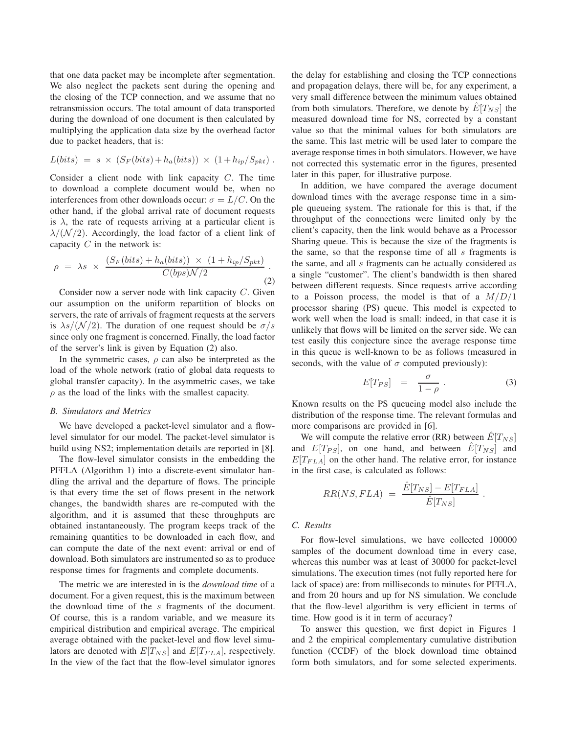that one data packet may be incomplete after segmentation. We also neglect the packets sent during the opening and the closing of the TCP connection, and we assume that no retransmission occurs. The total amount of data transported during the download of one document is then calculated by multiplying the application data size by the overhead factor due to packet headers, that is:

$$
L(bits) = s \times (S_F(bits) + h_a(bits)) \times (1 + h_{ip}/S_{pkt}).
$$

Consider a client node with link capacity C. The time to download a complete document would be, when no interferences from other downloads occur:  $\sigma = L/C$ . On the other hand, if the global arrival rate of document requests is  $\lambda$ , the rate of requests arriving at a particular client is  $\lambda/(\mathcal{N}/2)$ . Accordingly, the load factor of a client link of capacity  $C$  in the network is:

$$
\rho = \lambda s \times \frac{(S_F(bits) + h_a(bits)) \times (1 + h_{ip}/S_{pkt})}{C(bps)\mathcal{N}/2}.
$$
\n(2)

Consider now a server node with link capacity C. Given our assumption on the uniform repartition of blocks on servers, the rate of arrivals of fragment requests at the servers is  $\lambda s/(\mathcal{N}/2)$ . The duration of one request should be  $\sigma/s$ since only one fragment is concerned. Finally, the load factor of the server's link is given by Equation (2) also.

In the symmetric cases,  $\rho$  can also be interpreted as the load of the whole network (ratio of global data requests to global transfer capacity). In the asymmetric cases, we take  $\rho$  as the load of the links with the smallest capacity.

#### *B. Simulators and Metrics*

We have developed a packet-level simulator and a flowlevel simulator for our model. The packet-level simulator is build using NS2; implementation details are reported in [8].

The flow-level simulator consists in the embedding the PFFLA (Algorithm 1) into a discrete-event simulator handling the arrival and the departure of flows. The principle is that every time the set of flows present in the network changes, the bandwidth shares are re-computed with the algorithm, and it is assumed that these throughputs are obtained instantaneously. The program keeps track of the remaining quantities to be downloaded in each flow, and can compute the date of the next event: arrival or end of download. Both simulators are instrumented so as to produce response times for fragments and complete documents.

The metric we are interested in is the *download time* of a document. For a given request, this is the maximum between the download time of the s fragments of the document. Of course, this is a random variable, and we measure its empirical distribution and empirical average. The empirical average obtained with the packet-level and flow level simulators are denoted with  $E[T_{NS}]$  and  $E[T_{FLA}]$ , respectively. In the view of the fact that the flow-level simulator ignores the delay for establishing and closing the TCP connections and propagation delays, there will be, for any experiment, a very small difference between the minimum values obtained from both simulators. Therefore, we denote by  $E[T_{NS}]$  the measured download time for NS, corrected by a constant value so that the minimal values for both simulators are the same. This last metric will be used later to compare the average response times in both simulators. However, we have not corrected this systematic error in the figures, presented later in this paper, for illustrative purpose.

In addition, we have compared the average document download times with the average response time in a simple queueing system. The rationale for this is that, if the throughput of the connections were limited only by the client's capacity, then the link would behave as a Processor Sharing queue. This is because the size of the fragments is the same, so that the response time of all  $s$  fragments is the same, and all s fragments can be actually considered as a single "customer". The client's bandwidth is then shared between different requests. Since requests arrive according to a Poisson process, the model is that of a  $M/D/1$ processor sharing (PS) queue. This model is expected to work well when the load is small: indeed, in that case it is unlikely that flows will be limited on the server side. We can test easily this conjecture since the average response time in this queue is well-known to be as follows (measured in seconds, with the value of  $\sigma$  computed previously):

$$
E[T_{PS}] = \frac{\sigma}{1-\rho} . \tag{3}
$$

.

Known results on the PS queueing model also include the distribution of the response time. The relevant formulas and more comparisons are provided in [6].

We will compute the relative error (RR) between  $E[T_{NS}]$ and  $E[T_{PS}]$ , on one hand, and between  $\hat{E}[T_{NS}]$  and  $E[T<sub>FLA</sub>]$  on the other hand. The relative error, for instance in the first case, is calculated as follows:

$$
RR(NS, FLA) = \frac{\hat{E}[T_{NS}] - E[T_{FLA}]}{\hat{E}[T_{NS}]}
$$

#### *C. Results*

For flow-level simulations, we have collected 100000 samples of the document download time in every case, whereas this number was at least of 30000 for packet-level simulations. The execution times (not fully reported here for lack of space) are: from milliseconds to minutes for PFFLA, and from 20 hours and up for NS simulation. We conclude that the flow-level algorithm is very efficient in terms of time. How good is it in term of accuracy?

To answer this question, we first depict in Figures 1 and 2 the empirical complementary cumulative distribution function (CCDF) of the block download time obtained form both simulators, and for some selected experiments.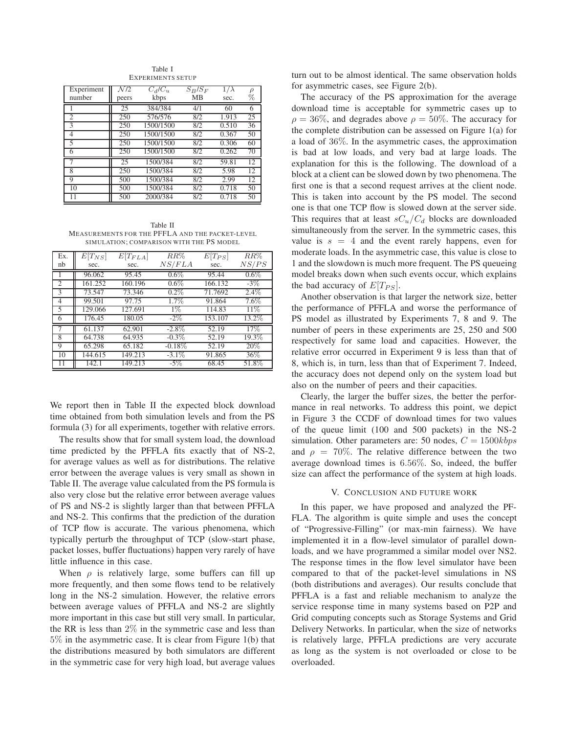Experiment  $N/2$   $C_d/C_u$   $S_B/S_F$   $1/\lambda$   $\rho$ <br>number peers kbps MB sec. % number **peers** kbps MB sec. % 1 25 384/384 4/1 60 6 2 2 250 576/576 8/2 1.913 25<br>3 250 1500/1500 8/2 0.510 36 1500/1500 4 250 1500/1500 8/2 0.367 50<br>5 250 1500/1500 8/2 0.306 60 1500/1500 6 250 1500/1500 8/2 0.262 70 25 1500/384 8/2 59.81 12<br>250 1500/384 8/2 5.98 12 8 250 1500/384 8/2 5.98 12<br>9 500 1500/384 8/2 2.99 12 9 500 1500/384 8/2 2.99 12<br>10 500 1500/384 8/2 0.718 50 10 500 1500/384 11 500 2000/384 8/2 0.718 50

Table I EXPERIMENTS SETUP

Table II MEASUREMENTS FOR THE PFFLA AND THE PACKET-LEVEL SIMULATION; COMPARISON WITH THE PS MODEL

| Ex.<br>nb      | $\hat{E}[T_{NS}]$<br>sec. | $E[T_{FLA}]$<br>sec. | RR%<br>NS/FLA | $E[T_{PS}]$<br>sec. | $RR\%$<br>NS/PS |
|----------------|---------------------------|----------------------|---------------|---------------------|-----------------|
|                | 96.062                    | 95.45                | $0.6\%$       | 95.44               | $0.6\%$         |
| $\mathfrak{2}$ | 161.252                   | 160.196              | $0.6\%$       | 166.132             | $-3\%$          |
| 3              | 73.547                    | 73.346               | $0.2\%$       | 71.7692             | $2.4\%$         |
| 4              | 99.501                    | 97.75                | 1.7%          | 91.864              | $7.6\%$         |
| 5              | 129.066                   | 127.691              | $1\%$         | 114.83              | 11%             |
| 6              | 176.45                    | 180.05               | $-2\%$        | 153.107             | 13.2%           |
|                | 61.137                    | 62.901               | $-2.8\%$      | 52.19               | 17%             |
| 8              | 64.738                    | 64.935               | $-0.3\%$      | 52.19               | 19.3%           |
| 9              | 65.298                    | 65.182               | $-0.18\%$     | 52.19               | 20%             |
| 10             | 144.615                   | 149.213              | $-3.1\%$      | 91.865              | 36\%            |
| 11             | 142.1                     | 149.213              | $-5\%$        | 68.45               | 51.8%           |

We report then in Table II the expected block download time obtained from both simulation levels and from the PS formula (3) for all experiments, together with relative errors.

The results show that for small system load, the download time predicted by the PFFLA fits exactly that of NS-2, for average values as well as for distributions. The relative error between the average values is very small as shown in Table II. The average value calculated from the PS formula is also very close but the relative error between average values of PS and NS-2 is slightly larger than that between PFFLA and NS-2. This confirms that the prediction of the duration of TCP flow is accurate. The various phenomena, which typically perturb the throughput of TCP (slow-start phase, packet losses, buffer fluctuations) happen very rarely of have little influence in this case.

When  $\rho$  is relatively large, some buffers can fill up more frequently, and then some flows tend to be relatively long in the NS-2 simulation. However, the relative errors between average values of PFFLA and NS-2 are slightly more important in this case but still very small. In particular, the RR is less than  $2\%$  in the symmetric case and less than 5% in the asymmetric case. It is clear from Figure 1(b) that the distributions measured by both simulators are different in the symmetric case for very high load, but average values turn out to be almost identical. The same observation holds for asymmetric cases, see Figure 2(b).

The accuracy of the PS approximation for the average download time is acceptable for symmetric cases up to  $\rho = 36\%$ , and degrades above  $\rho = 50\%$ . The accuracy for the complete distribution can be assessed on Figure 1(a) for a load of 36%. In the asymmetric cases, the approximation is bad at low loads, and very bad at large loads. The explanation for this is the following. The download of a block at a client can be slowed down by two phenomena. The first one is that a second request arrives at the client node. This is taken into account by the PS model. The second one is that one TCP flow is slowed down at the server side. This requires that at least  $sC_u/C_d$  blocks are downloaded simultaneously from the server. In the symmetric cases, this value is  $s = 4$  and the event rarely happens, even for moderate loads. In the asymmetric case, this value is close to 1 and the slowdown is much more frequent. The PS queueing model breaks down when such events occur, which explains the bad accuracy of  $E[T_{PS}]$ .

Another observation is that larger the network size, better the performance of PFFLA and worse the performance of PS model as illustrated by Experiments 7, 8 and 9. The number of peers in these experiments are 25, 250 and 500 respectively for same load and capacities. However, the relative error occurred in Experiment 9 is less than that of 8, which is, in turn, less than that of Experiment 7. Indeed, the accuracy does not depend only on the system load but also on the number of peers and their capacities.

Clearly, the larger the buffer sizes, the better the performance in real networks. To address this point, we depict in Figure 3 the CCDF of download times for two values of the queue limit (100 and 500 packets) in the NS-2 simulation. Other parameters are: 50 nodes,  $C = 1500kbps$ and  $\rho = 70\%$ . The relative difference between the two average download times is 6.56%. So, indeed, the buffer size can affect the performance of the system at high loads.

#### V. CONCLUSION AND FUTURE WORK

In this paper, we have proposed and analyzed the PF-FLA. The algorithm is quite simple and uses the concept of "Progressive-Filling" (or max-min fairness). We have implemented it in a flow-level simulator of parallel downloads, and we have programmed a similar model over NS2. The response times in the flow level simulator have been compared to that of the packet-level simulations in NS (both distributions and averages). Our results conclude that PFFLA is a fast and reliable mechanism to analyze the service response time in many systems based on P2P and Grid computing concepts such as Storage Systems and Grid Delivery Networks. In particular, when the size of networks is relatively large, PFFLA predictions are very accurate as long as the system is not overloaded or close to be overloaded.